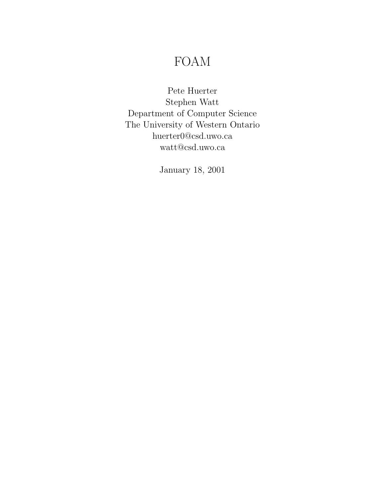# FOAM

Pete Huerter Stephen Watt Department of Computer Science The University of Western Ontario huerter0@csd.uwo.ca watt@csd.uwo.ca

January 18, 2001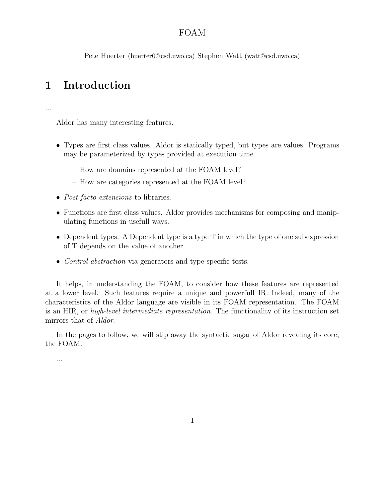### FOAM

Pete Huerter (huerter0@csd.uwo.ca) Stephen Watt (watt@csd.uwo.ca)

# 1 Introduction

...

Aldor has many interesting features.

- Types are first class values. Aldor is statically typed, but types are values. Programs may be parameterized by types provided at execution time.
	- How are domains represented at the FOAM level?
	- How are categories represented at the FOAM level?
- *Post facto extensions* to libraries.
- Functions are first class values. Aldor provides mechanisms for composing and manipulating functions in usefull ways.
- Dependent types. A Dependent type is a type T in which the type of one subexpression of T depends on the value of another.
- *Control abstraction* via generators and type-specific tests.

It helps, in understanding the FOAM, to consider how these features are represented at a lower level. Such features require a unique and powerfull IR. Indeed, many of the characteristics of the Aldor language are visible in its FOAM representation. The FOAM is an HIR, or high-level intermediate representation. The functionality of its instruction set mirrors that of Aldor.

In the pages to follow, we will stip away the syntactic sugar of Aldor revealing its core, the FOAM.

...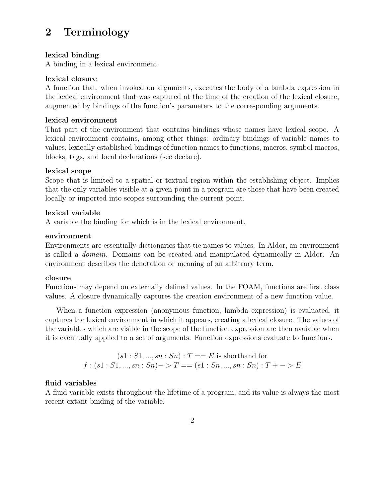# 2 Terminology

#### lexical binding

A binding in a lexical environment.

#### lexical closure

A function that, when invoked on arguments, executes the body of a lambda expression in the lexical environment that was captured at the time of the creation of the lexical closure, augmented by bindings of the function's parameters to the corresponding arguments.

#### lexical environment

That part of the environment that contains bindings whose names have lexical scope. A lexical environment contains, among other things: ordinary bindings of variable names to values, lexically established bindings of function names to functions, macros, symbol macros, blocks, tags, and local declarations (see declare).

#### lexical scope

Scope that is limited to a spatial or textual region within the establishing object. Implies that the only variables visible at a given point in a program are those that have been created locally or imported into scopes surrounding the current point.

#### lexical variable

A variable the binding for which is in the lexical environment.

#### environment

Environments are essentially dictionaries that tie names to values. In Aldor, an environment is called a domain. Domains can be created and manipulated dynamically in Aldor. An environment describes the denotation or meaning of an arbitrary term.

#### closure

Functions may depend on externally defined values. In the FOAM, functions are first class values. A closure dynamically captures the creation environment of a new function value.

When a function expression (anonymous function, lambda expression) is evaluated, it captures the lexical environment in which it appears, creating a lexical closure. The values of the variables which are visible in the scope of the function expression are then avaiable when it is eventually applied to a set of arguments. Function expressions evaluate to functions.

$$
(s1: S1, ..., sn: Sn): T == E \text{ is shorthand for}
$$
  
 $f:(s1: S1, ..., sn: Sn) -> T == (s1: Sn, ..., sn: Sn): T + -> E$ 

### fluid variables

A fluid variable exists throughout the lifetime of a program, and its value is always the most recent extant binding of the variable.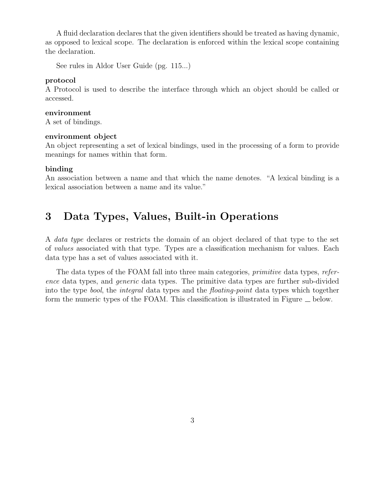A fluid declaration declares that the given identifiers should be treated as having dynamic, as opposed to lexical scope. The declaration is enforced within the lexical scope containing the declaration.

See rules in Aldor User Guide (pg. 115...)

#### protocol

A Protocol is used to describe the interface through which an object should be called or accessed.

#### environment

A set of bindings.

#### environment object

An object representing a set of lexical bindings, used in the processing of a form to provide meanings for names within that form.

#### binding

An association between a name and that which the name denotes. "A lexical binding is a lexical association between a name and its value."

# 3 Data Types, Values, Built-in Operations

A data type declares or restricts the domain of an object declared of that type to the set of values associated with that type. Types are a classification mechanism for values. Each data type has a set of values associated with it.

The data types of the FOAM fall into three main categories, *primitive* data types, *refer*ence data types, and generic data types. The primitive data types are further sub-divided into the type *bool*, the *integral* data types and the *floating-point* data types which together form the numeric types of the FOAM. This classification is illustrated in Figure  $\equiv$  below.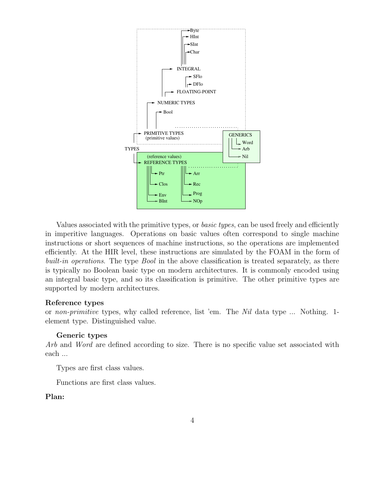

Values associated with the primitive types, or *basic types*, can be used freely and efficiently in imperitive languages. Operations on basic values often correspond to single machine instructions or short sequences of machine instructions, so the operations are implemented efficiently. At the HIR level, these instructions are simulated by the FOAM in the form of built-in operations. The type *Bool* in the above classification is treated separately, as there is typically no Boolean basic type on modern architectures. It is commonly encoded using an integral basic type, and so its classification is primitive. The other primitive types are supported by modern architectures.

#### Reference types

or non-primitive types, why called reference, list 'em. The Nil data type ... Nothing. 1 element type. Distinguished value.

#### Generic types

Arb and Word are defined according to size. There is no specific value set associated with each ...

Types are first class values.

Functions are first class values.

#### Plan: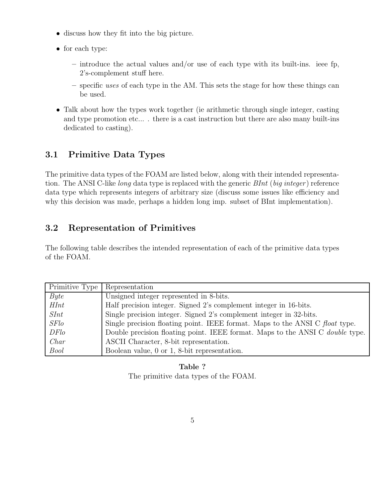- discuss how they fit into the big picture.
- for each type:
	- $-$  introduce the actual values and/or use of each type with its built-ins. ieee fp, 2's-complement stuff here.
	- specific uses of each type in the AM. This sets the stage for how these things can be used.
- Talk about how the types work together (ie arithmetic through single integer, casting and type promotion etc... . there is a cast instruction but there are also many built-ins dedicated to casting).

# 3.1 Primitive Data Types

The primitive data types of the FOAM are listed below, along with their intended representation. The ANSI C-like *long* data type is replaced with the generic *BInt* (*big integer*) reference data type which represents integers of arbitrary size (discuss some issues like efficiency and why this decision was made, perhaps a hidden long imp. subset of BInt implementation).

# 3.2 Representation of Primitives

The following table describes the intended representation of each of the primitive data types of the FOAM.

| Primitive Type | Representation                                                                       |
|----------------|--------------------------------------------------------------------------------------|
| Byte           | Unsigned integer represented in 8-bits.                                              |
| HInt           | Half precision integer. Signed 2's complement integer in 16-bits.                    |
| SInt           | Single precision integer. Signed 2's complement integer in 32-bits.                  |
| SFlo           | Single precision floating point. IEEE format. Maps to the ANSI C float type.         |
| DFlo           | Double precision floating point. IEEE format. Maps to the ANSI C <i>double</i> type. |
| Char           | ASCII Character, 8-bit representation.                                               |
| <b>Bool</b>    | Boolean value, 0 or 1, 8-bit representation.                                         |

### Table ?

The primitive data types of the FOAM.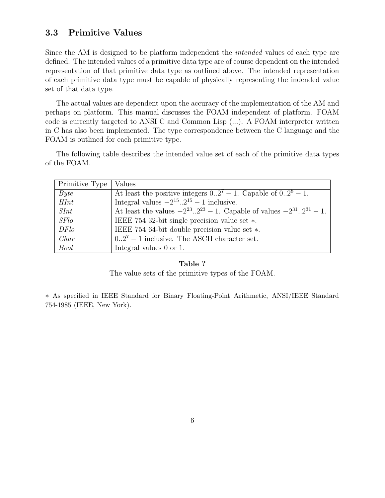## 3.3 Primitive Values

Since the AM is designed to be platform independent the *intended* values of each type are defined. The intended values of a primitive data type are of course dependent on the intended representation of that primitive data type as outlined above. The intended representation of each primitive data type must be capable of physically representing the indended value set of that data type.

The actual values are dependent upon the accuracy of the implementation of the AM and perhaps on platform. This manual discusses the FOAM independent of platform. FOAM code is currently targeted to ANSI C and Common Lisp (...). A FOAM interpreter written in C has also been implemented. The type correspondence between the C language and the FOAM is outlined for each primitive type.

The following table describes the intended value set of each of the primitive data types of the FOAM.

| Primitive Type | Values                                                                                            |
|----------------|---------------------------------------------------------------------------------------------------|
| Byte           | At least the positive integers $0 \cdot 2^7 - 1$ . Capable of $0 \cdot 2^8 - 1$ .                 |
| HInt           | Integral values $-2^{15} \cdot .2^{15} - 1$ inclusive.                                            |
| SInt           | At least the values $-2^{23} \cdot .2^{23} - 1$ . Capable of values $-2^{31} \cdot .2^{31} - 1$ . |
| <i>SFlo</i>    | IEEE 754 32-bit single precision value set *.                                                     |
| DFlo           | IEEE 754 64-bit double precision value set *.                                                     |
| Char           | $027 - 1$ inclusive. The ASCII character set.                                                     |
| Bool           | Integral values 0 or 1.                                                                           |

#### Table ?

The value sets of the primitive types of the FOAM.

∗ As specified in IEEE Standard for Binary Floating-Point Arithmetic, ANSI/IEEE Standard 754-1985 (IEEE, New York).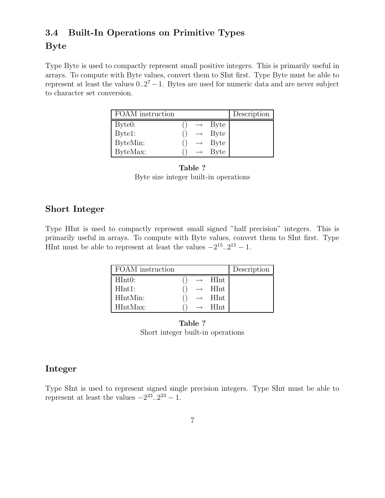## 3.4 Built-In Operations on Primitive Types

### Byte

Type Byte is used to compactly represent small positive integers. This is primarily useful in arrays. To compute with Byte values, convert them to SInt first. Type Byte must be able to represent at least the values  $0.2<sup>7</sup> - 1$ . Bytes are used for numeric data and are never subject to character set conversion.

| <b>FOAM</b> instruction |                   |                    | Description |
|-------------------------|-------------------|--------------------|-------------|
| Byte0:                  | $\longrightarrow$ | <b>Byte</b>        |             |
| Byte1:                  |                   | $\rightarrow$ Byte |             |
| ByteMin:                |                   | $\rightarrow$ Byte |             |
| ByteMax:                | $\longrightarrow$ | <b>Byte</b>        |             |

#### Table ? Byte size integer built-in operations

## Short Integer

Type HInt is used to compactly represent small signed "half precision" integers. This is primarily useful in arrays. To compute with Byte values, convert them to SInt first. Type HInt must be able to represent at least the values  $-2^{15} \cdot .2^{15} - 1$ .

| FOAM instruction |               |                              | Description |
|------------------|---------------|------------------------------|-------------|
| HInt0:           |               | $\mathop{\rm HInt}\nolimits$ |             |
| HInt1:           | $\rightarrow$ | HInt                         |             |
| HIntMin:         | $\rightarrow$ | HInt                         |             |
| HIntMax:         |               | HInt.                        |             |

Table ? Short integer built-in operations

# Integer

Type SInt is used to represent signed single precision integers. Type SInt must be able to represent at least the values  $-2^{23} \cdot .2^{23} - 1$ .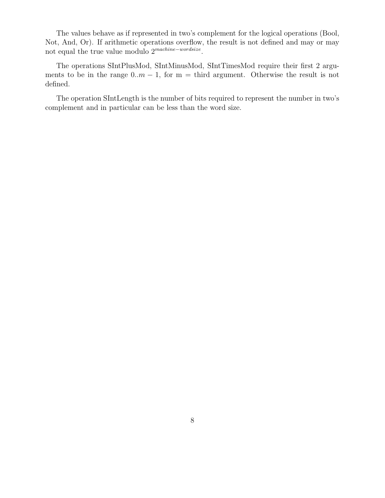The values behave as if represented in two's complement for the logical operations (Bool, Not, And, Or). If arithmetic operations overflow, the result is not defined and may or may not equal the true value modulo 2<sup>machine-wordsize</sup>.

The operations SIntPlusMod, SIntMinusMod, SIntTimesMod require their first 2 arguments to be in the range  $0..m - 1$ , for m = third argument. Otherwise the result is not defined.

The operation SIntLength is the number of bits required to represent the number in two's complement and in particular can be less than the word size.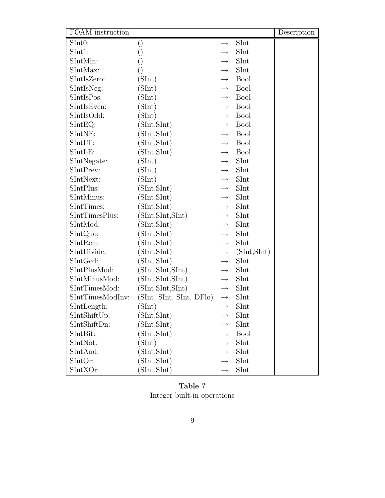| FOAM instruction |                          |                   |              | Description |
|------------------|--------------------------|-------------------|--------------|-------------|
| SInt0:           | $\left( \right)$         | $\rightarrow$     | SInt         |             |
| SInt1:           | $\left(\right)$          | $\longrightarrow$ | SInt         |             |
| SIntMin:         | $\left(\right)$          | $\longrightarrow$ | SInt         |             |
| SIntMax:         | $\left(\right)$          | $\longrightarrow$ | SInt         |             |
| SIntIsZero:      | (SInt)                   | $\longrightarrow$ | <b>Bool</b>  |             |
| SIntIsNeg:       | (SInt)                   | $\longrightarrow$ | <b>Bool</b>  |             |
| SIntIsPos:       | (SInt)                   | $\rightarrow$     | <b>Bool</b>  |             |
| SIntIsEven:      | (SInt)                   | $\longrightarrow$ | <b>Bool</b>  |             |
| SIntIsOdd:       | (SInt)                   | $\longrightarrow$ | <b>Bool</b>  |             |
| $SIntEQ$ :       | (SInt, SInt)             | $\longrightarrow$ | <b>Bool</b>  |             |
| SIntNE:          | (SInt, SInt)             | $\longrightarrow$ | <b>Bool</b>  |             |
| SIntLT:          | (SInt, SInt)             | $\longrightarrow$ | <b>Bool</b>  |             |
| SIntLE:          | (SInt, SInt)             | $\longrightarrow$ | <b>Bool</b>  |             |
| SIntNegate:      | (SInt)                   | $\longrightarrow$ | SInt         |             |
| SIntPrev:        | (SInt)                   | $\longrightarrow$ | SInt         |             |
| SIntNext:        | (SInt)                   | $\longrightarrow$ | SInt         |             |
| SIntPlus:        | (SInt, SInt)             | $\longrightarrow$ | SInt         |             |
| SIntMinus:       | (SInt, SInt)             | $\longrightarrow$ | SInt         |             |
| SIntTimes:       | (SInt, SInt)             | $\longrightarrow$ | SInt         |             |
| SIntTimesPlus:   | (SInt, SInt, SInt)       | $\longrightarrow$ | SInt         |             |
| SIntMod:         | (SInt, SInt)             | $\longrightarrow$ | SInt         |             |
| SIntQuo:         | (SInt, SInt)             | $\longrightarrow$ | SInt         |             |
| SIntRem:         | (SInt, SInt)             | $\longrightarrow$ | SInt         |             |
| SIntDivide:      | (SInt, SInt)             | $\longrightarrow$ | (SInt, SInt) |             |
| SIntGcd:         | (SInt, SInt)             | $\longrightarrow$ | SInt         |             |
| SIntPlusMod:     | (SInt, SInt, SInt)       | $\longrightarrow$ | SInt         |             |
| SIntMinusMod:    | (SInt, SInt, SInt)       | $\longrightarrow$ | SInt         |             |
| SIntTimesMod:    | (SInt, SInt, SInt)       | $\longrightarrow$ | SInt         |             |
| SIntTimesModInv: | (SInt, SInt, SInt, DFlo) | $\longrightarrow$ | SInt         |             |
| SIntLength:      | (SInt)                   | $\longrightarrow$ | SInt         |             |
| SIntShiftUp:     | (SInt, SInt)             | $\longrightarrow$ | SInt         |             |
| SIntShiftDn:     | (SInt, SInt)             | $\longrightarrow$ | SInt         |             |
| SIntBit:         | (SInt, SInt)             | $\longrightarrow$ | <b>Bool</b>  |             |
| SIntNot:         | (SInt)                   | $\longrightarrow$ | SInt         |             |
| SIntAnd:         | (SInt, SInt)             | $\longrightarrow$ | SInt         |             |
| SIntOr:          | (SInt, SInt)             | $\longrightarrow$ | SInt         |             |
| SIntXOr:         | (SInt, SInt)             | $\longrightarrow$ | SInt         |             |

Table ? Integer built-in operations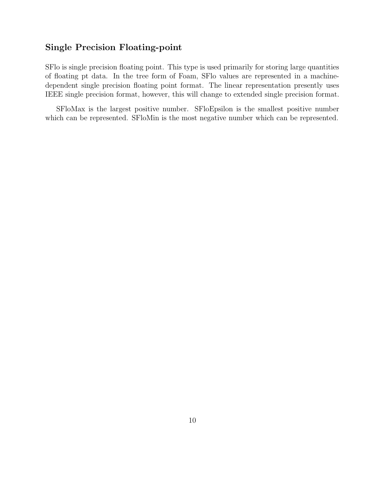## Single Precision Floating-point

SFlo is single precision floating point. This type is used primarily for storing large quantities of floating pt data. In the tree form of Foam, SFlo values are represented in a machinedependent single precision floating point format. The linear representation presently uses IEEE single precision format, however, this will change to extended single precision format.

SFloMax is the largest positive number. SFloEpsilon is the smallest positive number which can be represented. SFloMin is the most negative number which can be represented.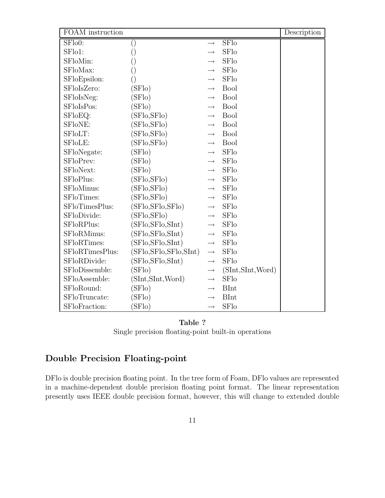| FOAM instruction |                          |                   |                    | Description |
|------------------|--------------------------|-------------------|--------------------|-------------|
| SFlo0:           | $\left(\right)$          | $\rightarrow$     | SFlo               |             |
| SFlo1:           | $\left(\right)$          | $\rightarrow$     | <b>SFlo</b>        |             |
| SFloMin:         | $\left( \right)$         | $\rightarrow$     | <b>SFlo</b>        |             |
| SFloMax:         |                          | $\rightarrow$     | <b>SFlo</b>        |             |
| SFloEpsilon:     | $\left(\right)$          | $\rightarrow$     | <b>SFlo</b>        |             |
| SFloIsZero:      | (SFlo)                   | $\rightarrow$     | <b>Bool</b>        |             |
| SFloIsNeg:       | (SFlo)                   | $\longrightarrow$ | <b>Bool</b>        |             |
| SFloIsPos:       | (SFlo)                   | $\rightarrow$     | <b>Bool</b>        |             |
| SFloEQ:          | (SFlo,SFlo)              | $\rightarrow$     | <b>Bool</b>        |             |
| SFloNE:          | (SFlo, SFlo)             | $\rightarrow$     | <b>Bool</b>        |             |
| SFloLT:          | (SFlo, SFlo)             | $\longrightarrow$ | <b>Bool</b>        |             |
| SFloLE:          | (SFlo,SFlo)              | $\longrightarrow$ | <b>Bool</b>        |             |
| SFloNegate:      | (SFlo)                   | $\rightarrow$     | <b>SFlo</b>        |             |
| SFloPrev:        | (SFlo)                   | $\rightarrow$     | <b>SFlo</b>        |             |
| SFloNext:        | (SFlo)                   | $\longrightarrow$ | <b>SFlo</b>        |             |
| SFloPlus:        | (SFlo, SFlo)             | $\rightarrow$     | <b>SFlo</b>        |             |
| SFloMinus:       | (SFlo,SFlo)              | $\longrightarrow$ | <b>SFlo</b>        |             |
| SFloTimes:       | (SFlo, SFlo)             | $\longrightarrow$ | <b>SFlo</b>        |             |
| SFloTimesPlus:   | (SFlo, SFlo, SFlo)       | $\longrightarrow$ | <b>SFlo</b>        |             |
| SFloDivide:      | (SFlo, SFlo)             | $\rightarrow$     | <b>SFlo</b>        |             |
| SFloRPlus:       | (SFlo, SFlo, SInt)       | $\rightarrow$     | <b>SFlo</b>        |             |
| SFloRMinus:      | (SFlo, SFlo, SInt)       | $\longrightarrow$ | <b>SFlo</b>        |             |
| SFloRTimes:      | (SFlo, SFlo, SInt)       | $\longrightarrow$ | <b>SFlo</b>        |             |
| SFloRTimesPlus:  | (SFlo, SFlo, SFlo, SInt) | $\longrightarrow$ | <b>SFlo</b>        |             |
| SFloRDivide:     | (SFlo, SFlo, SInt)       | $\longrightarrow$ | <b>SFlo</b>        |             |
| SFloDissemble:   | (SFlo)                   | $\longrightarrow$ | (SInt, SInt, Word) |             |
| SFloAssemble:    | (SInt, SInt, Word)       | $\longrightarrow$ | <b>SFlo</b>        |             |
| SFloRound:       | (SFlo)                   | $\longrightarrow$ | <b>BInt</b>        |             |
| SFloTruncate:    | (SFlo)                   | $\rightarrow$     | <b>BInt</b>        |             |
| SFloFraction:    | SFlo)                    | $\rightarrow$     | SFlo               |             |

Table ? Single precision floating-point built-in operations

# Double Precision Floating-point

DFlo is double precision floating point. In the tree form of Foam, DFlo values are represented in a machine-dependent double precision floating point format. The linear representation presently uses IEEE double precision format, however, this will change to extended double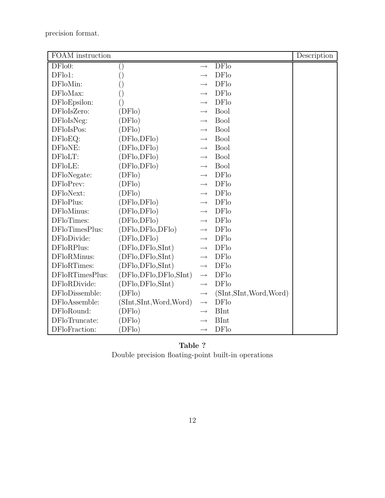precision format.

| FOAM instruction |                          |                   |                          | Description |
|------------------|--------------------------|-------------------|--------------------------|-------------|
| DFlo0:           | $\left( \right)$         | $\rightarrow$     | <b>DFlo</b>              |             |
| $DFlo1$ :        | $\left(\,\right)$        |                   | <b>DFlo</b>              |             |
| DFloMin:         | ()                       |                   | <b>DFlo</b>              |             |
| DFloMax:         | $\left(\,\right)$        | $\rightarrow$     | <b>DFlo</b>              |             |
| DFloEpsilon:     | $\left(\right)$          |                   | <b>DFlo</b>              |             |
| DFloIsZero:      | (DFlo)                   | $\rightarrow$     | <b>Bool</b>              |             |
| DFloIsNeg:       | (DFlo)                   | $\rightarrow$     | <b>Bool</b>              |             |
| DFloIsPos:       | (DFlo)                   | $\longrightarrow$ | <b>Bool</b>              |             |
| DFloEQ:          | (DFlo,DFlo)              | $\longrightarrow$ | <b>Bool</b>              |             |
| DFloNE:          | (DFlo,DFlo)              | $\longrightarrow$ | Bool                     |             |
| DFloLT:          | (DFlo,DFlo)              | $\rightarrow$     | <b>Bool</b>              |             |
| DFloLE:          | (DFlo,DFlo)              | $\longrightarrow$ | <b>Bool</b>              |             |
| DFloNegate:      | (DFlo)                   |                   | <b>DFlo</b>              |             |
| DFloPrev:        | (DFlo)                   | $\longrightarrow$ | <b>DFlo</b>              |             |
| DFloNext:        | (DFlo)                   | $\rightarrow$     | <b>DFlo</b>              |             |
| DFloPlus:        | (DFlo,DFlo)              | $\longrightarrow$ | <b>DFlo</b>              |             |
| DFloMinus:       | (DFlo,DFlo)              | $\rightarrow$     | <b>DFlo</b>              |             |
| DFloTimes:       | (DFlo,DFlo)              |                   | <b>DFlo</b>              |             |
| DFloTimesPlus:   | (DFlo, DFlo, DFlo)       | $\longrightarrow$ | <b>DF</b> lo             |             |
| DFloDivide:      | (DFlo,DFlo)              | $\longrightarrow$ | DFlo                     |             |
| DFloRPlus:       | (DFlo, DFlo, SInt)       | $\longrightarrow$ | <b>DFlo</b>              |             |
| DFloRMinus:      | (DFlo,DFlo, SInt)        | $\longrightarrow$ | <b>DFlo</b>              |             |
| DFloRTimes:      | (DFlo, DFlo, SInt)       | $\rightarrow$     | <b>DFlo</b>              |             |
| DFloRTimesPlus:  | (DFlo,DFlo,DFlo,SInt)    | $\longrightarrow$ | <b>DFlo</b>              |             |
| DFloRDivide:     | (DFlo,DFlo, SInt)        | $\longrightarrow$ | <b>DFlo</b>              |             |
| DFloDissemble:   | (DFlo)                   | $\longrightarrow$ | (SInt, SInt, Word, Word) |             |
| DFloAssemble:    | (SInt, SInt, Word, Word) | $\longrightarrow$ | <b>DFlo</b>              |             |
| DFloRound:       | (DFlo)                   | $\rightarrow$     | <b>BInt</b>              |             |
| DFloTruncate:    | (DFlo)                   |                   | <b>BInt</b>              |             |
| DFloFraction:    | (DFlo)                   | $\rightarrow$     | <b>DFlo</b>              |             |

# Table ? Double precision floating-point built-in operations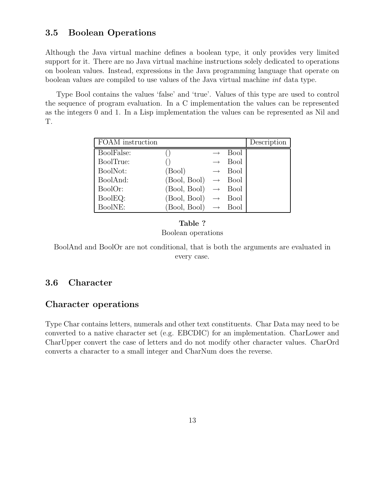### 3.5 Boolean Operations

Although the Java virtual machine defines a boolean type, it only provides very limited support for it. There are no Java virtual machine instructions solely dedicated to operations on boolean values. Instead, expressions in the Java programming language that operate on boolean values are compiled to use values of the Java virtual machine int data type.

Type Bool contains the values 'false' and 'true'. Values of this type are used to control the sequence of program evaluation. In a C implementation the values can be represented as the integers 0 and 1. In a Lisp implementation the values can be represented as Nil and T.

| FOAM instruction |                                 |                   |                    | Description |
|------------------|---------------------------------|-------------------|--------------------|-------------|
| BoolFalse:       |                                 |                   | <b>Bool</b>        |             |
| BoolTrue:        |                                 | $\longrightarrow$ | <b>Bool</b>        |             |
| BoolNot:         | (Bool)                          |                   | $\rightarrow$ Bool |             |
| BoolAnd:         | $(Bool, Bool) \rightarrow Bool$ |                   |                    |             |
| BoolOr:          | (Bool, Bool)                    |                   | $\rightarrow$ Bool |             |
| BoolEQ:          | $(Bool, Bool) \rightarrow Bool$ |                   |                    |             |
| BoolNE:          | $(Bool, Bool) \rightarrow Bool$ |                   |                    |             |

### Table ? Boolean operations

BoolAnd and BoolOr are not conditional, that is both the arguments are evaluated in every case.

## 3.6 Character

### Character operations

Type Char contains letters, numerals and other text constituents. Char Data may need to be converted to a native character set (e.g. EBCDIC) for an implementation. CharLower and CharUpper convert the case of letters and do not modify other character values. CharOrd converts a character to a small integer and CharNum does the reverse.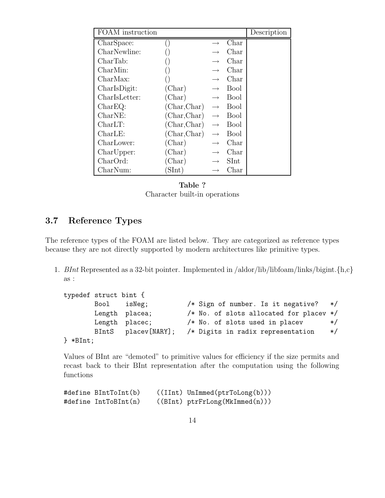| <b>FOAM</b> instruction |                 |                   |             | Description |
|-------------------------|-----------------|-------------------|-------------|-------------|
| CharSpace:              |                 |                   | Char        |             |
| CharNewline:            |                 |                   | Char        |             |
| CharTab:                |                 |                   | Char        |             |
| CharMin:                |                 | $\longrightarrow$ | Char        |             |
| CharMax:                |                 | $\longrightarrow$ | Char        |             |
| CharlsDigit:            | (Char)          | $\longrightarrow$ | Bool        |             |
| CharlsLetter:           | (Char)          | $\longrightarrow$ | Bool        |             |
| CharEQ:                 | (Char, Char)    | $\longrightarrow$ | <b>Bool</b> |             |
| CharNE:                 | (Char, Char)    | $\longrightarrow$ | <b>Bool</b> |             |
| CharLT:                 | (Char, Char)    | $\longrightarrow$ | <b>Bool</b> |             |
| CharLE:                 | (Char, Char)    | $\longrightarrow$ | Bool        |             |
| CharLower:              | $(\text{Char})$ | $\rightarrow$     | Char        |             |
| CharUpper:              | (Char)          | $\longrightarrow$ | Char        |             |
| CharOrd:                | (Char)          |                   | SInt        |             |
| CharNum:                | SInt)           |                   | Char        |             |

Table ? Character built-in operations

## 3.7 Reference Types

The reference types of the FOAM are listed below. They are categorized as reference types because they are not directly supported by modern architectures like primitive types.

1. BInt Represented as a 32-bit pointer. Implemented in /aldor/lib/libfoam/links/bigint. $\{h, c\}$ as :

```
typedef struct bint {
      Bool isNeg; /* Sign of number. Is it negative? */
      Length placea; /* No. of slots allocated for placev */Length placec; /* No. of slots used in placev */BIntS placev[NARY]; /* Digits in radix representation */
} *BInt;
```
Values of BInt are "demoted" to primitive values for efficiency if the size permits and recast back to their BInt representation after the computation using the following functions

```
#define BIntToInt(b) ((IInt) UnImmed(ptrToLong(b)))
#define IntToBInt(n) ((BInt) ptrFrLong(MkImmed(n)))
```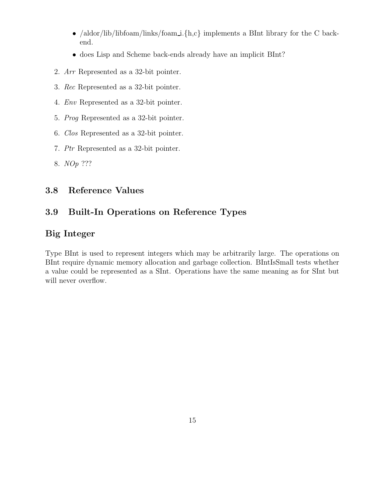- /aldor/lib/libfoam/links/foam\_i.{h,c} implements a BInt library for the C backend.
- does Lisp and Scheme back-ends already have an implicit BInt?
- 2. Arr Represented as a 32-bit pointer.
- 3. Rec Represented as a 32-bit pointer.
- 4. Env Represented as a 32-bit pointer.
- 5. Prog Represented as a 32-bit pointer.
- 6. Clos Represented as a 32-bit pointer.
- 7. Ptr Represented as a 32-bit pointer.
- 8. NOp ???

# 3.8 Reference Values

# 3.9 Built-In Operations on Reference Types

# Big Integer

Type BInt is used to represent integers which may be arbitrarily large. The operations on BInt require dynamic memory allocation and garbage collection. BIntIsSmall tests whether a value could be represented as a SInt. Operations have the same meaning as for SInt but will never overflow.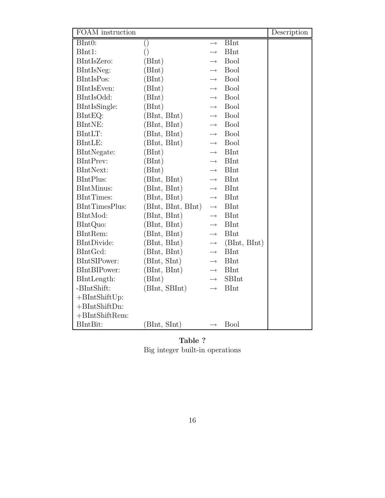| FOAM instruction  |                    |                   |              | Description |
|-------------------|--------------------|-------------------|--------------|-------------|
| BInt0:            | $\left(\right)$    | $\rightarrow$     | <b>BInt</b>  |             |
| BInt1:            | $\left(\right)$    | $\longrightarrow$ | <b>BInt</b>  |             |
| BIntIsZero:       | (BInt)             | $\longrightarrow$ | <b>Bool</b>  |             |
| BIntIsNeg:        | (BInt)             | $\rightarrow$     | <b>Bool</b>  |             |
| BIntIsPos:        | (BInt)             | $\longrightarrow$ | <b>Bool</b>  |             |
| BIntIsEven:       | (BInt)             | $\rightarrow$     | <b>Bool</b>  |             |
| BIntIsOdd:        | (BInt)             | $\longrightarrow$ | <b>Bool</b>  |             |
| BIntIsSingle:     | (BInt)             | $\longrightarrow$ | <b>Bool</b>  |             |
| BIntEQ:           | (BInt, BInt)       | $\longrightarrow$ | <b>Bool</b>  |             |
| BIntNE:           | (BInt, BInt)       | $\longrightarrow$ | Bool         |             |
| BIntLT:           | (BInt, BInt)       | $\longrightarrow$ | <b>Bool</b>  |             |
| BIntLE:           | (BInt, BInt)       | $\longrightarrow$ | <b>Bool</b>  |             |
| BIntNegate:       | (BInt)             | $\rightarrow$     | <b>BInt</b>  |             |
| BIntPrev:         | (BInt)             | $\longrightarrow$ | <b>BInt</b>  |             |
| BIntNext:         | (BInt)             | $\rightarrow$     | <b>BInt</b>  |             |
| BIntPlus:         | (BInt, BInt)       | $\longrightarrow$ | <b>BInt</b>  |             |
| <b>BIntMinus:</b> | (BInt, BInt)       | $\rightarrow$     | <b>BInt</b>  |             |
| BIntTimes:        | (BInt, BInt)       | $\longrightarrow$ | <b>BInt</b>  |             |
| BIntTimesPlus:    | (BInt, BInt, BInt) | $\longrightarrow$ | <b>BInt</b>  |             |
| BIntMod:          | (BInt, BInt)       | $\longrightarrow$ | <b>BInt</b>  |             |
| BIntQuo:          | (BInt, BInt)       | $\longrightarrow$ | <b>BInt</b>  |             |
| BIntRem:          | (BInt, BInt)       | $\longrightarrow$ | <b>BInt</b>  |             |
| BIntDivide:       | (BInt, BInt)       | $\longrightarrow$ | (BInt, BInt) |             |
| BIntGcd:          | (BInt, BInt)       | $\longrightarrow$ | <b>BInt</b>  |             |
| BIntSIPower:      | (BInt, SInt)       | $\longrightarrow$ | <b>BInt</b>  |             |
| BIntBIPower:      | (BInt, BInt)       | $\longrightarrow$ | <b>BInt</b>  |             |
| BIntLength:       | (BInt)             | $\longrightarrow$ | <b>SBInt</b> |             |
| -BIntShift:       | (BInt, SBInt)      | $\rightarrow$     | <b>BInt</b>  |             |
| $+BIntShiftUp:$   |                    |                   |              |             |
| $+BIntShiftDn:$   |                    |                   |              |             |
| $+BIntShiftRem:$  |                    |                   |              |             |
| BIntBit:          | (BInt, SInt)       | $\longrightarrow$ | <b>Bool</b>  |             |

Table ? Big integer built-in operations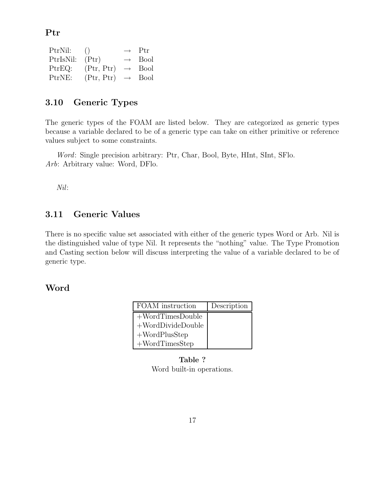Ptr

| PtrNil:   | ( )        |                   | $\rightarrow$ Ptr |
|-----------|------------|-------------------|-------------------|
| PtrIsNil: | (Ptr)      | $\longrightarrow$ | <b>Bool</b>       |
| PtrEQ:    | (Ptr, Ptr) | $\longrightarrow$ | <b>Bool</b>       |
| PtrNE:    | (Ptr, Ptr) | $\longrightarrow$ | <b>Bool</b>       |

## 3.10 Generic Types

The generic types of the FOAM are listed below. They are categorized as generic types because a variable declared to be of a generic type can take on either primitive or reference values subject to some constraints.

Word: Single precision arbitrary: Ptr, Char, Bool, Byte, HInt, SInt, SFlo. Arb: Arbitrary value: Word, DFlo.

Nil:

### 3.11 Generic Values

There is no specific value set associated with either of the generic types Word or Arb. Nil is the distinguished value of type Nil. It represents the "nothing" value. The Type Promotion and Casting section below will discuss interpreting the value of a variable declared to be of generic type.

### Word

| FOAM instruction     | Description |
|----------------------|-------------|
| $+WordTimesDouble$   |             |
| $+$ WordDivideDouble |             |
| $+WordPlusStep$      |             |
| $+WordTimesStep$     |             |

Table ? Word built-in operations.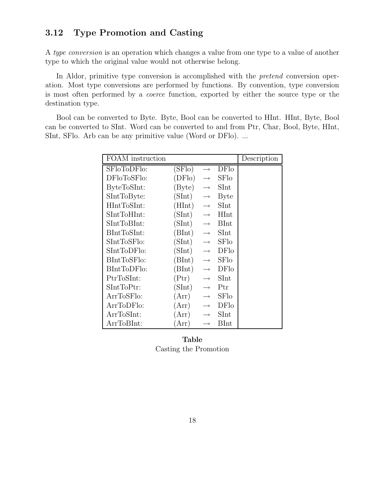## 3.12 Type Promotion and Casting

A type conversion is an operation which changes a value from one type to a value of another type to which the original value would not otherwise belong.

In Aldor, primitive type conversion is accomplished with the *pretend* conversion operation. Most type conversions are performed by functions. By convention, type conversion is most often performed by a coerce function, exported by either the source type or the destination type.

Bool can be converted to Byte. Byte, Bool can be converted to HInt. HInt, Byte, Bool can be converted to SInt. Word can be converted to and from Ptr, Char, Bool, Byte, HInt, SInt, SFlo. Arb can be any primitive value (Word or DFlo). ...

| <b>FOAM</b> instruction |                |                   |             | Description |
|-------------------------|----------------|-------------------|-------------|-------------|
| SFloToDFlo:             | (SFlo)         | $\longrightarrow$ | DFlo        |             |
| DFloToSFlo:             | (DFlo)         | $\longrightarrow$ | SFlo        |             |
| ByteToSInt:             | (Byte)         | $\rightarrow$     | SInt        |             |
| SIntToByte:             | (SInt)         | $\longrightarrow$ | <b>Byte</b> |             |
| HIntToSInt:             | (HInt)         | $\longrightarrow$ | SInt        |             |
| SIntToHInt:             | (SInt)         | $\longrightarrow$ | HInt        |             |
| SIntToBInt:             | (SInt)         | $\longrightarrow$ | <b>BInt</b> |             |
| BIntToSInt:             | (BInt)         | $\longrightarrow$ | SInt        |             |
| SIntToSFlo:             | (SInt)         | $\longrightarrow$ | <b>SFlo</b> |             |
| SIntTopFlo:             | (SInt)         | $\longrightarrow$ | DFlo        |             |
| BIntToSFlo:             | (BInt)         | $\longrightarrow$ | <b>SFlo</b> |             |
| BIntToDFlo:             | (BInt)         | $\longrightarrow$ | DFlo        |             |
| PtrToSInt:              | $(\text{Ptr})$ | $\longrightarrow$ | SInt        |             |
| SIntToptr:              | (SInt)         | $\rightarrow$     | Ptr         |             |
| ArrToSFlo:              | (Arr)          | $\longrightarrow$ | SFlo        |             |
| ArrToDFlo:              | (Arr)          | $\rightarrow$     | DFlo        |             |
| ArrToSInt:              | (Arr)          | $\rightarrow$     | SInt        |             |
| ArrToBInt:              | Arr)           | $\rightarrow$     | <b>BInt</b> |             |

### Table Casting the Promotion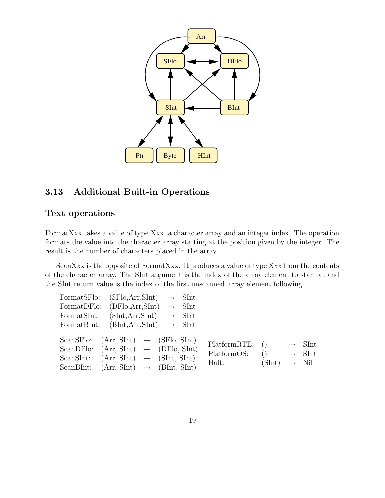

## 3.13 Additional Built-in Operations

## Text operations

FormatXxx takes a value of type Xxx, a character array and an integer index. The operation formats the value into the character array starting at the position given by the integer. The result is the number of characters placed in the array.

ScanXxx is the opposite of FormatXxx. It produces a value of type Xxx from the contents of the character array. The SInt argument is the index of the array element to start at and the SInt return value is the index of the first unscanned array element following.

| FormatSFlo: | $(SFlo, Arr, SInt) \rightarrow SInt$                                                                 |  |                                    |                                 |                   |
|-------------|------------------------------------------------------------------------------------------------------|--|------------------------------------|---------------------------------|-------------------|
| FormatDFlo: | $(DFlo, Arr, SInt) \rightarrow SInt$                                                                 |  |                                    |                                 |                   |
| FormatSInt: | $(SInt, Arr, SInt) \rightarrow Shnt$                                                                 |  |                                    |                                 |                   |
|             | FormatBInt: $(BInt, Arr, SInt) \rightarrow Shnt$                                                     |  |                                    |                                 |                   |
|             | ScanSFlo: $(Arr, SInt) \rightarrow (SFlo, SInt)$<br>ScanDFlo: $(Arr, SInt) \rightarrow (DFlo, SInt)$ |  | PlatformRTE: () $\rightarrow$ SInt |                                 |                   |
|             | ScanSInt: $(Arr, SInt) \rightarrow (SInt, SInt)$                                                     |  | PlatformOS:<br>Halt:               | $() \rightarrow$ SInt<br>(SInt) | $\rightarrow$ Nil |
|             | ScanBInt: $(Arr, SInt) \rightarrow (BInt, SInt)$                                                     |  |                                    |                                 |                   |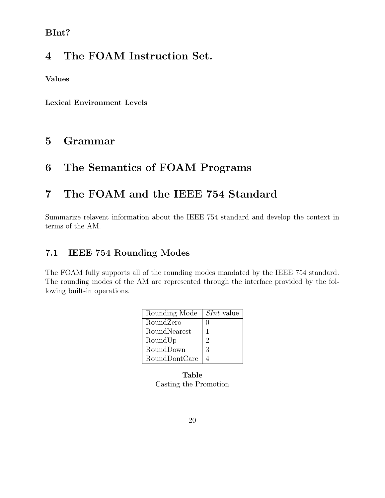# BInt?

# 4 The FOAM Instruction Set.

Values

Lexical Environment Levels

# 5 Grammar

# 6 The Semantics of FOAM Programs

# 7 The FOAM and the IEEE 754 Standard

Summarize relavent information about the IEEE 754 standard and develop the context in terms of the AM.

# 7.1 IEEE 754 Rounding Modes

The FOAM fully supports all of the rounding modes mandated by the IEEE 754 standard. The rounding modes of the AM are represented through the interface provided by the following built-in operations.

| Rounding Mode | $SInt$ value |
|---------------|--------------|
| RoundZero     | 1            |
| RoundNearest  |              |
| RoundUp       | 2            |
| RoundDown     | 3            |
| RoundDontCare |              |

Table Casting the Promotion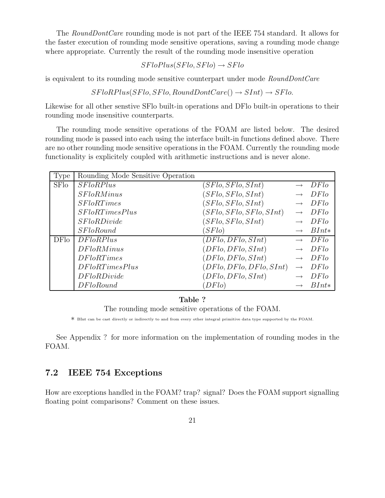The *RoundDontCare* rounding mode is not part of the IEEE 754 standard. It allows for the faster execution of rounding mode sensitive operations, saving a rounding mode change where appropriate. Currently the result of the rounding mode insensitive operation

$$
SFloPlus(SFlo, SFlo) \rightarrow SFlo
$$

is equivalent to its rounding mode sensitive counterpart under mode RoundDontCare

 $SFloRPlus(SFlo, SFlo, RoundDontCare() \rightarrow SInt) \rightarrow SFlo.$ 

Likewise for all other senstive SFlo built-in operations and DFlo built-in operations to their rounding mode insensitive counterparts.

The rounding mode sensitive operations of the FOAM are listed below. The desired rounding mode is passed into each using the interface built-in functions defined above. There are no other rounding mode sensitive operations in the FOAM. Currently the rounding mode functionality is explicitely coupled with arithmetic instructions and is never alone.

| Type        | Rounding Mode Sensitive Operation |                          |                   |         |
|-------------|-----------------------------------|--------------------------|-------------------|---------|
| <b>SFlo</b> | SFloRPlus                         | (SFlo, SFlo, SInt)       |                   | DFlo    |
|             | SFloRMinus                        | (SFlo, SFlo, SInt)       |                   | DFlo    |
|             | SFloRTimes                        | (SFlo, SFlo, SInt)       |                   | DFlo    |
|             | SFloRTimesPlus                    | (SFlo, SFlo, SFlo, SInt) |                   | DFlo    |
|             | S FloRDivide                      | (SFlo, SFlo, SInt)       |                   | DFlo    |
|             | SFloRound                         | (SFlo)                   |                   | $BInt*$ |
| DFlo        | DFloRPlus                         | (DFlo,DFlo, SInt)        |                   | DFlo    |
|             | DFloRMinus                        | (DFlo,DFlo, SInt)        |                   | DFlo    |
|             | DFloRTimes                        | (DFlo,DFlo, SInt)        |                   | DFlo    |
|             | DFloRTimesPlus                    | (DFlo, DFlo, DFlo, SInt) | $\longrightarrow$ | DFlo    |
|             | DFloRDivide                       | (DFlo,DFlo, SInt)        |                   | DFlo    |
|             | DFloRound                         | DFlo                     |                   | $BInt*$ |

#### Table ?

The rounding mode sensitive operations of the FOAM.

∗ BInt can be cast directly or indirectly to and from every other integral primitive data type supported by the FOAM.

See Appendix ? for more information on the implementation of rounding modes in the FOAM.

### 7.2 IEEE 754 Exceptions

How are exceptions handled in the FOAM? trap? signal? Does the FOAM support signalling floating point comparisons? Comment on these issues.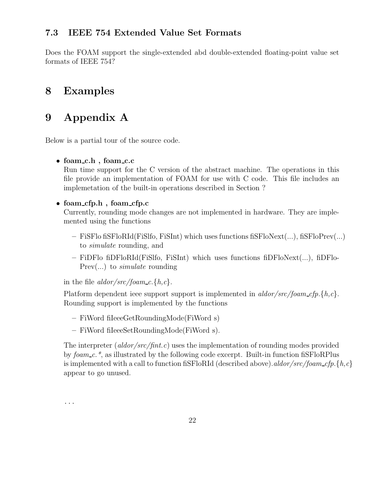# 7.3 IEEE 754 Extended Value Set Formats

Does the FOAM support the single-extended abd double-extended floating-point value set formats of IEEE 754?

# 8 Examples

# 9 Appendix A

Below is a partial tour of the source code.

### • foam c.h , foam c.c

Run time support for the C version of the abstract machine. The operations in this file provide an implementation of FOAM for use with C code. This file includes an implemetation of the built-in operations described in Section ?

### • foam\_cfp.h, foam\_cfp.c

Currently, rounding mode changes are not implemented in hardware. They are implemented using the functions

- FiSFlo fiSFloRId(FiSlfo, FiSInt) which uses functions fiSFloNext(...), fiSFloPrev(...) to simulate rounding, and
- $-$  FiDFlo fiDFloRId(FiSIfo, FiSInt) which uses functions fiDFloNext(...), fiDFlo-Prev(...) to simulate rounding

in the file  $\frac{aldor}{src}/\frac{foam_c}{f}$ .

Platform dependent ieee support support is implemented in aldor/src/foam\_cfp.{h,c}. Rounding support is implemented by the functions

- FiWord fiIeeeGetRoundingMode(FiWord s)
- FiWord fiIeeeSetRoundingMode(FiWord s).

The interpreter (*aldor/src/fint.c*) uses the implementation of rounding modes provided by foam c.\*, as illustrated by the following code excerpt. Built-in function fiSFloRPlus is implemented with a call to function fistloRId (described above). aldor/src/foam\_cfp.{h,c} appear to go unused.

...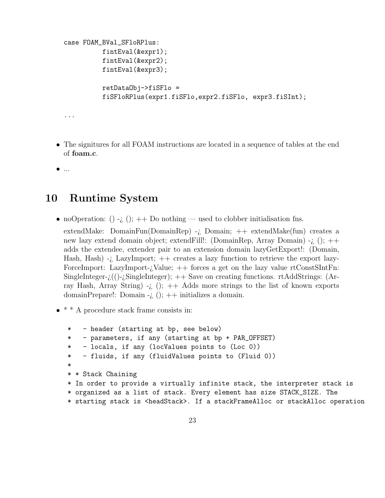```
case FOAM_BVal_SFloRPlus:
          fintEval(&expr1);
          fintEval(&expr2);
          fintEval(&expr3);
          retDataObj->fiSFlo =
          fiSFloRPlus(expr1.fiSFlo,expr2.fiSFlo, expr3.fiSInt);
...
```
- The signitures for all FOAM instructions are located in a sequence of tables at the end of foam.c.
- ...

# 10 Runtime System

• noOperation: () -*i*, (); + + Do nothing — used to clobber initialisation fns.

extendMake: DomainFun(DomainRep) -*i*, Domain;  $++$  extendMake(fun) creates a new lazy extend domain object; extendFill!: (DomainRep, Array Domain) -¿ (); ++ adds the extendee, extender pair to an extension domain lazyGetExport!: (Domain, Hash, Hash) -*i*. LazyImport;  $++$  creates a lazy function to retrieve the export lazy-ForceImport: LazyImport- $i$ Value;  $++$  forces a get on the lazy value rtConstSIntFn: SingleInteger- $\chi$ (()- $\chi$ SingleInteger); ++ Save on creating functions. rtAddStrings: (Array Hash, Array String)  $-i$ , ();  $++$  Adds more strings to the list of known exports domainPrepare!: Domain -*i*, ();  $++$  initializes a domain.

• \* \* A procedure stack frame consists in:

\* - header (starting at bp, see below) \* - parameters, if any (starting at bp + PAR\_OFFSET) \* - locals, if any (locValues points to (Loc 0)) \* - fluids, if any (fluidValues points to (Fluid 0)) \* \* \* Stack Chaining \* In order to provide a virtually infinite stack, the interpreter stack is \* organized as a list of stack. Every element has size STACK\_SIZE. The \* starting stack is <headStack>. If a stackFrameAlloc or stackAlloc operation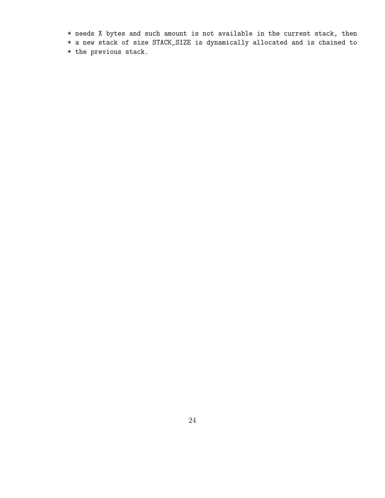- \* needs X bytes and such amount is not available in the current stack, then
- \* a new stack of size STACK\_SIZE is dynamically allocated and is chained to
- \* the previous stack.